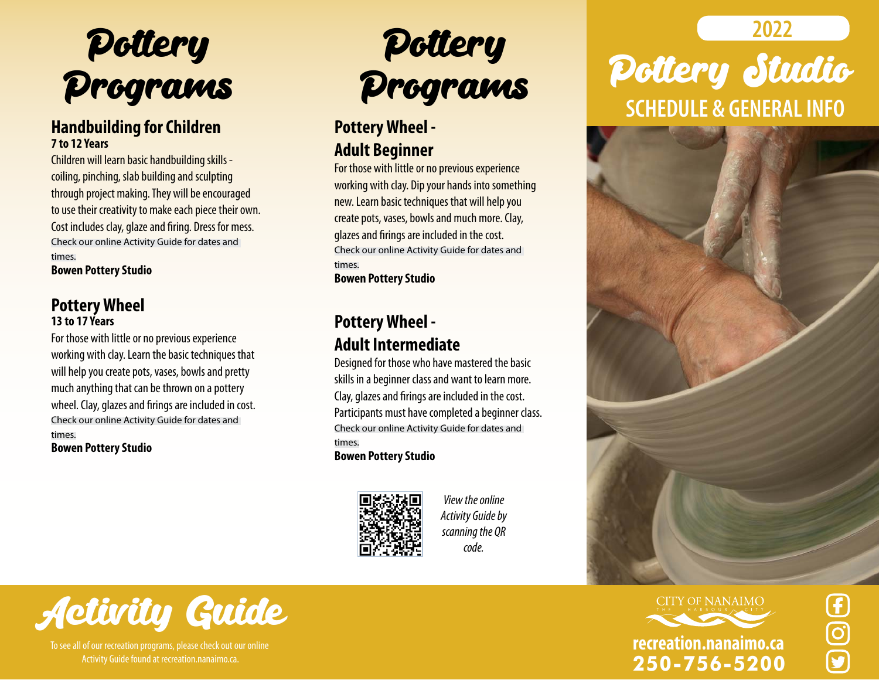

#### **Handbuilding for Children 7 to 12 Years**

Children will learn basic handbuilding skills coiling, pinching, slab building and sculpting through project making. They will be encouraged to use their creativity to make each piece their own. Cost includes clay, glaze and firing. Dress for mess. Check our online Activity Guide for dates and times.

**Bowen Pottery Studio**

#### **Pottery Wheel 13 to 17 Years**

For those with little or no previous experience working with clay. Learn the basic techniques that will help you create pots, vases, bowls and pretty much anything that can be thrown on a pottery wheel. Clay, glazes and firings are included in cost. Check our online Activity Guide for dates and times. **Bowen Pottery Studio**

# Pottery **Pottery** 2022 Programs

#### **Pottery Wheel - Adult Beginner**

For those with little or no previous experience working with clay. Dip your hands into something new. Learn basic techniques that will help you create pots, vases, bowls and much more. Clay, glazes and firings are included in the cost. Check our online Activity Guide for dates and times.

**Bowen Pottery Studio**

### **Pottery Wheel - Adult Intermediate**

Designed for those who have mastered the basic skills in a beginner class and want to learn more. Clay, glazes and firings are included in the cost. Participants must have completed a beginner class. Check our online Activity Guide for dates and times.

**Bowen Pottery Studio**



*View the online Activity Guide by scanning the QR code.*







**250-756-5200**





To see all of our recreation programs, please check out our online Activity Guide found at recreation.nanaimo.ca.